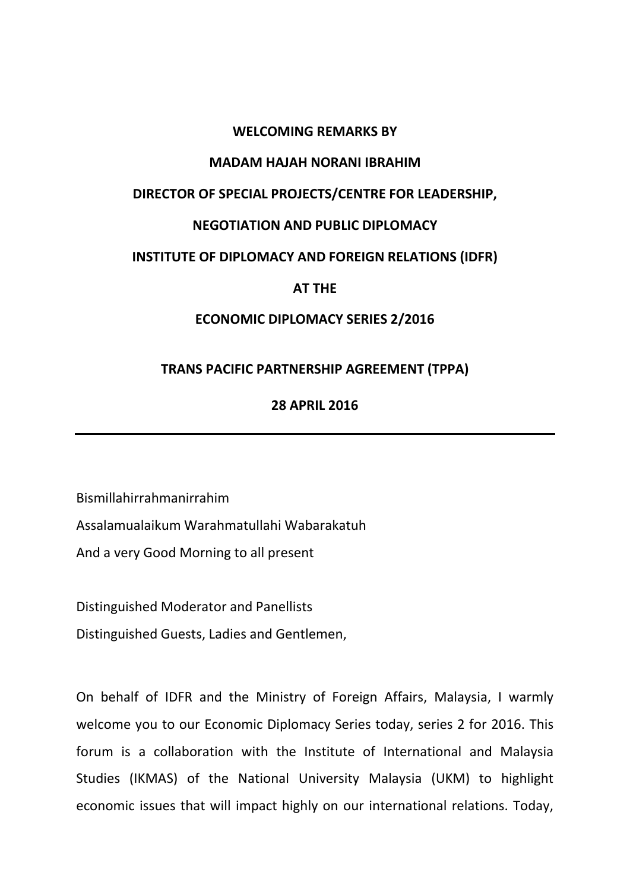# **WELCOMING REMARKS BY**

### **MADAM HAJAH NORANI IBRAHIM**

# **DIRECTOR OF SPECIAL PROJECTS/CENTRE FOR LEADERSHIP,**

# **NEGOTIATION AND PUBLIC DIPLOMACY**

### **INSTITUTE OF DIPLOMACY AND FOREIGN RELATIONS (IDFR)**

### **AT THE**

### **ECONOMIC DIPLOMACY SERIES 2/2016**

### **TRANS PACIFIC PARTNERSHIP AGREEMENT (TPPA)**

# **28 APRIL 2016**

Bismillahirrahmanirrahim Assalamualaikum Warahmatullahi Wabarakatuh And a very Good Morning to all present

Distinguished Moderator and Panellists Distinguished Guests, Ladies and Gentlemen,

On behalf of IDFR and the Ministry of Foreign Affairs, Malaysia, I warmly welcome you to our Economic Diplomacy Series today, series 2 for 2016. This forum is a collaboration with the Institute of International and Malaysia Studies (IKMAS) of the National University Malaysia (UKM) to highlight economic issues that will impact highly on our international relations. Today,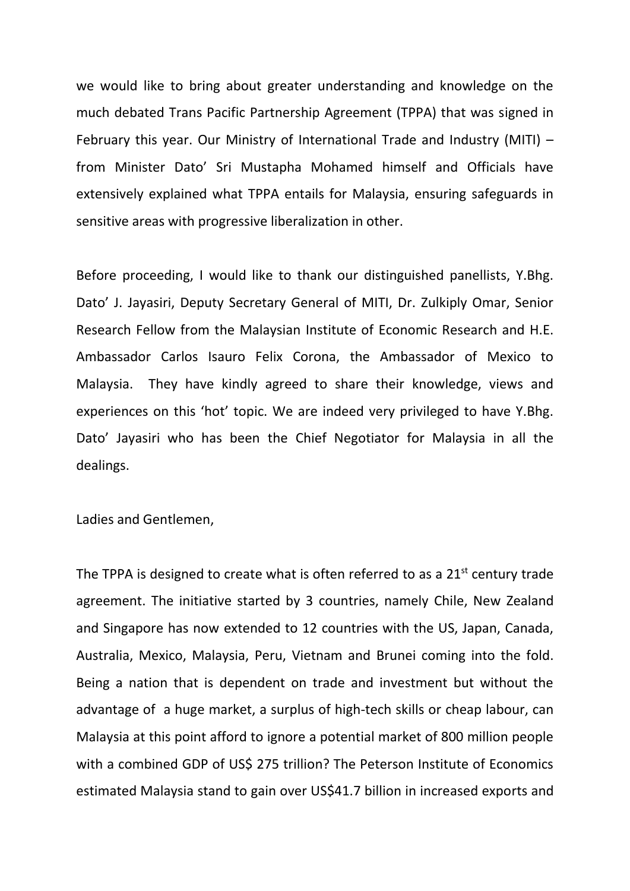we would like to bring about greater understanding and knowledge on the much debated Trans Pacific Partnership Agreement (TPPA) that was signed in February this year. Our Ministry of International Trade and Industry (MITI) – from Minister Dato' Sri Mustapha Mohamed himself and Officials have extensively explained what TPPA entails for Malaysia, ensuring safeguards in sensitive areas with progressive liberalization in other.

Before proceeding, I would like to thank our distinguished panellists, Y.Bhg. Dato' J. Jayasiri, Deputy Secretary General of MITI, Dr. Zulkiply Omar, Senior Research Fellow from the Malaysian Institute of Economic Research and H.E. Ambassador Carlos Isauro Felix Corona, the Ambassador of Mexico to Malaysia. They have kindly agreed to share their knowledge, views and experiences on this 'hot' topic. We are indeed very privileged to have Y.Bhg. Dato' Jayasiri who has been the Chief Negotiator for Malaysia in all the dealings.

Ladies and Gentlemen,

The TPPA is designed to create what is often referred to as a  $21<sup>st</sup>$  century trade agreement. The initiative started by 3 countries, namely Chile, New Zealand and Singapore has now extended to 12 countries with the US, Japan, Canada, Australia, Mexico, Malaysia, Peru, Vietnam and Brunei coming into the fold. Being a nation that is dependent on trade and investment but without the advantage of a huge market, a surplus of high-tech skills or cheap labour, can Malaysia at this point afford to ignore a potential market of 800 million people with a combined GDP of US\$ 275 trillion? The Peterson Institute of Economics estimated Malaysia stand to gain over US\$41.7 billion in increased exports and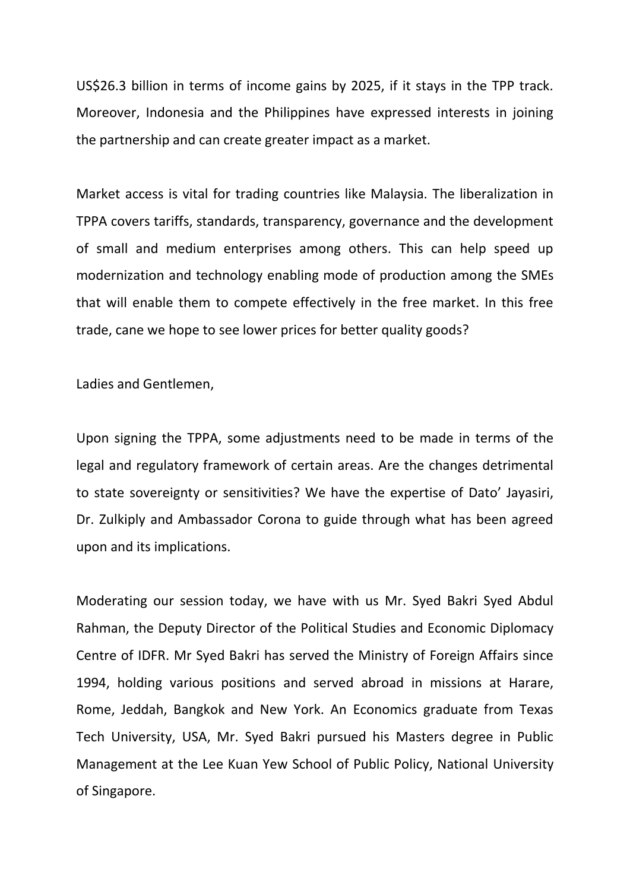US\$26.3 billion in terms of income gains by 2025, if it stays in the TPP track. Moreover, Indonesia and the Philippines have expressed interests in joining the partnership and can create greater impact as a market.

Market access is vital for trading countries like Malaysia. The liberalization in TPPA covers tariffs, standards, transparency, governance and the development of small and medium enterprises among others. This can help speed up modernization and technology enabling mode of production among the SMEs that will enable them to compete effectively in the free market. In this free trade, cane we hope to see lower prices for better quality goods?

Ladies and Gentlemen,

Upon signing the TPPA, some adjustments need to be made in terms of the legal and regulatory framework of certain areas. Are the changes detrimental to state sovereignty or sensitivities? We have the expertise of Dato' Jayasiri, Dr. Zulkiply and Ambassador Corona to guide through what has been agreed upon and its implications.

Moderating our session today, we have with us Mr. Syed Bakri Syed Abdul Rahman, the Deputy Director of the Political Studies and Economic Diplomacy Centre of IDFR. Mr Syed Bakri has served the Ministry of Foreign Affairs since 1994, holding various positions and served abroad in missions at Harare, Rome, Jeddah, Bangkok and New York. An Economics graduate from Texas Tech University, USA, Mr. Syed Bakri pursued his Masters degree in Public Management at the Lee Kuan Yew School of Public Policy, National University of Singapore.